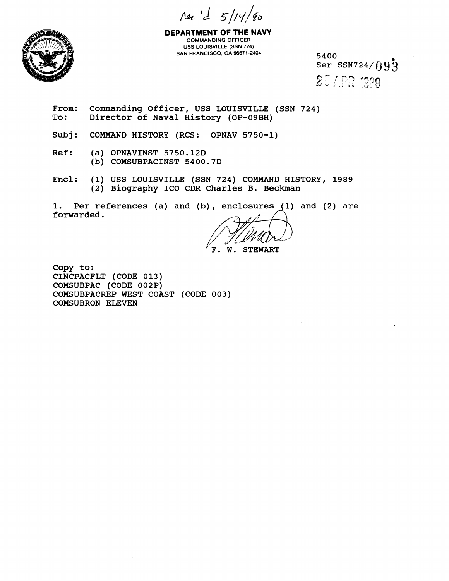$\pi a'$   $d'$   $5/14/90$ 



**DEPARTMENT OF THE NAVY COMMANDlNG OFFICER USS LOUISVILLE (SSN 724) SAN FRANCISCO, CA 96671-2404 5400** 

 $Ser$  SSN724/ $\iint Q_3$ 25 APR 1989

From: Commanding Officer, USS LOUISVILLE (SSN 724)<br>To: Director of Naval History (OP-09BH) **To: Director of Naval History (OP-09BH)** 

**Subj: COMMAND HISTORY (RCS: OPNAV 5750-1)** 

**Ref: (a) OPNAVINST 5750.12D (b) COMSUBPACINST 5400.7D** 

**Encl: (1) USS LOUISVILLE (SSN 724) COMMAND HISTORY, 1989 (2) Biography ICO CDR Charles B. Beckman** 

**1. Per references (a) and (b)** , **enclosures (1) and (2) are forwarded.** 

**'F. W. STEWART** 

**Copy to: CINCPACFLT (CODE 013) COMSUBPAC (CODE 002P) COMSUBPACREP WEST COAST (CODE 003) COMSUBRON ELEVEN**